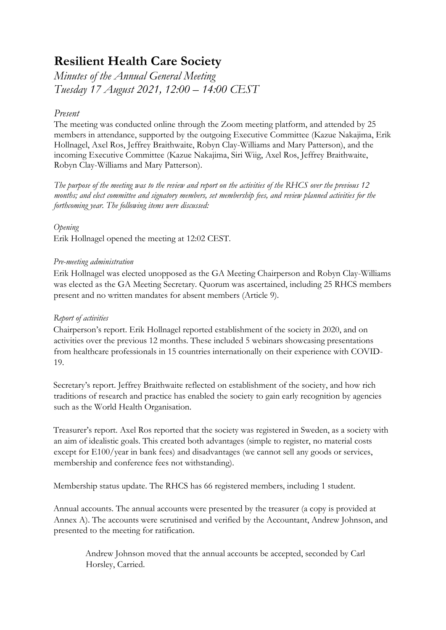# **Resilient Health Care Society**

*Minutes of the Annual General Meeting Tuesday 17 August 2021, 12:00 – 14:00 CEST*

# *Present*

The meeting was conducted online through the Zoom meeting platform, and attended by 25 members in attendance, supported by the outgoing Executive Committee (Kazue Nakajima, Erik Hollnagel, Axel Ros, Jeffrey Braithwaite, Robyn Clay-Williams and Mary Patterson), and the incoming Executive Committee (Kazue Nakajima, Siri Wiig, Axel Ros, Jeffrey Braithwaite, Robyn Clay-Williams and Mary Patterson).

*The purpose of the meeting was to the review and report on the activities of the RHCS over the previous 12 months; and elect committee and signatory members, set membership fees, and review planned activities for the forthcoming year. The following items were discussed:*

*Opening*

Erik Hollnagel opened the meeting at 12:02 CEST.

## *Pre-meeting administration*

Erik Hollnagel was elected unopposed as the GA Meeting Chairperson and Robyn Clay-Williams was elected as the GA Meeting Secretary. Quorum was ascertained, including 25 RHCS members present and no written mandates for absent members (Article 9).

# *Report of activities*

Chairperson's report. Erik Hollnagel reported establishment of the society in 2020, and on activities over the previous 12 months. These included 5 webinars showcasing presentations from healthcare professionals in 15 countries internationally on their experience with COVID-19.

Secretary's report. Jeffrey Braithwaite reflected on establishment of the society, and how rich traditions of research and practice has enabled the society to gain early recognition by agencies such as the World Health Organisation.

Treasurer's report. Axel Ros reported that the society was registered in Sweden, as a society with an aim of idealistic goals. This created both advantages (simple to register, no material costs except for E100/year in bank fees) and disadvantages (we cannot sell any goods or services, membership and conference fees not withstanding).

Membership status update. The RHCS has 66 registered members, including 1 student.

Annual accounts. The annual accounts were presented by the treasurer (a copy is provided at Annex A). The accounts were scrutinised and verified by the Accountant, Andrew Johnson, and presented to the meeting for ratification.

Andrew Johnson moved that the annual accounts be accepted, seconded by Carl Horsley, Carried.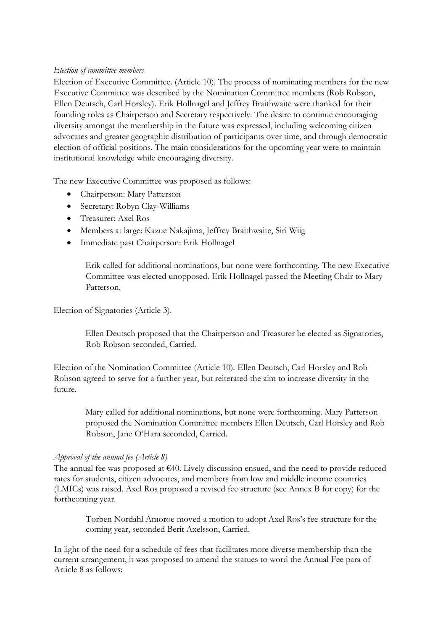#### *Election of committee members*

Election of Executive Committee. (Article 10). The process of nominating members for the new Executive Committee was described by the Nomination Committee members (Rob Robson, Ellen Deutsch, Carl Horsley). Erik Hollnagel and Jeffrey Braithwaite were thanked for their founding roles as Chairperson and Secretary respectively. The desire to continue encouraging diversity amongst the membership in the future was expressed, including welcoming citizen advocates and greater geographic distribution of participants over time, and through democratic election of official positions. The main considerations for the upcoming year were to maintain institutional knowledge while encouraging diversity.

The new Executive Committee was proposed as follows:

- Chairperson: Mary Patterson
- Secretary: Robyn Clay-Williams
- Treasurer: Axel Ros
- Members at large: Kazue Nakajima, Jeffrey Braithwaite, Siri Wiig
- Immediate past Chairperson: Erik Hollnagel

Erik called for additional nominations, but none were forthcoming. The new Executive Committee was elected unopposed. Erik Hollnagel passed the Meeting Chair to Mary Patterson.

Election of Signatories (Article 3).

Ellen Deutsch proposed that the Chairperson and Treasurer be elected as Signatories, Rob Robson seconded, Carried.

Election of the Nomination Committee (Article 10). Ellen Deutsch, Carl Horsley and Rob Robson agreed to serve for a further year, but reiterated the aim to increase diversity in the future.

Mary called for additional nominations, but none were forthcoming. Mary Patterson proposed the Nomination Committee members Ellen Deutsch, Carl Horsley and Rob Robson, Jane O'Hara seconded, Carried.

#### *Approval of the annual fee (Article 8)*

The annual fee was proposed at €40. Lively discussion ensued, and the need to provide reduced rates for students, citizen advocates, and members from low and middle income countries (LMICs) was raised. Axel Ros proposed a revised fee structure (see Annex B for copy) for the forthcoming year.

Torben Nordahl Amoroe moved a motion to adopt Axel Ros's fee structure for the coming year, seconded Berit Axelsson, Carried.

In light of the need for a schedule of fees that facilitates more diverse membership than the current arrangement, it was proposed to amend the statues to word the Annual Fee para of Article 8 as follows: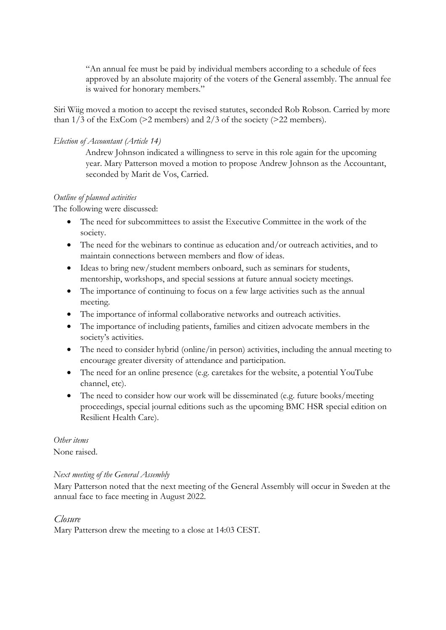"An annual fee must be paid by individual members according to a schedule of fees approved by an absolute majority of the voters of the General assembly. The annual fee is waived for honorary members."

Siri Wiig moved a motion to accept the revised statutes, seconded Rob Robson. Carried by more than  $1/3$  of the ExCom (>2 members) and  $2/3$  of the society (>22 members).

# *Election of Accountant (Article 14)*

Andrew Johnson indicated a willingness to serve in this role again for the upcoming year. Mary Patterson moved a motion to propose Andrew Johnson as the Accountant, seconded by Marit de Vos, Carried.

## *Outline of planned activities*

The following were discussed:

- The need for subcommittees to assist the Executive Committee in the work of the society.
- The need for the webinars to continue as education and/or outreach activities, and to maintain connections between members and flow of ideas.
- Ideas to bring new/student members onboard, such as seminars for students, mentorship, workshops, and special sessions at future annual society meetings.
- The importance of continuing to focus on a few large activities such as the annual meeting.
- The importance of informal collaborative networks and outreach activities.
- The importance of including patients, families and citizen advocate members in the society's activities.
- The need to consider hybrid (online/in person) activities, including the annual meeting to encourage greater diversity of attendance and participation.
- The need for an online presence (e.g. caretakes for the website, a potential YouTube channel, etc).
- The need to consider how our work will be disseminated (e.g. future books/meeting proceedings, special journal editions such as the upcoming BMC HSR special edition on Resilient Health Care).

#### *Other items*

None raised.

#### *Next meeting of the General Assembly*

Mary Patterson noted that the next meeting of the General Assembly will occur in Sweden at the annual face to face meeting in August 2022.

# *Closure*

Mary Patterson drew the meeting to a close at 14:03 CEST.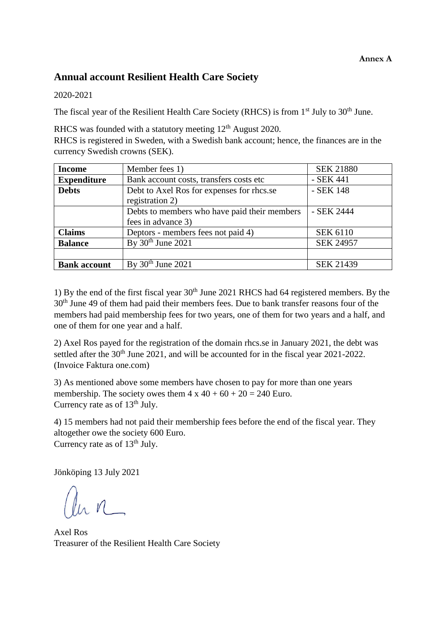# **Annual account Resilient Health Care Society**

## 2020-2021

The fiscal year of the Resilient Health Care Society (RHCS) is from 1<sup>st</sup> July to 30<sup>th</sup> June.

RHCS was founded with a statutory meeting  $12<sup>th</sup>$  August 2020. RHCS is registered in Sweden, with a Swedish bank account; hence, the finances are in the currency Swedish crowns (SEK).

| <b>Income</b>       | Member fees 1)                               | <b>SEK 21880</b> |
|---------------------|----------------------------------------------|------------------|
| <b>Expenditure</b>  | Bank account costs, transfers costs etc      | - SEK 441        |
| <b>Debts</b>        | Debt to Axel Ros for expenses for rhcs.se    | - SEK 148        |
|                     | registration 2)                              |                  |
|                     | Debts to members who have paid their members | - SEK 2444       |
|                     | fees in advance 3)                           |                  |
| <b>Claims</b>       | Deptors - members fees not paid 4)           | <b>SEK 6110</b>  |
| <b>Balance</b>      | By $30th$ June 2021                          | <b>SEK 24957</b> |
|                     |                                              |                  |
| <b>Bank account</b> | By $30th$ June 2021                          | <b>SEK 21439</b> |

1) By the end of the first fiscal year  $30<sup>th</sup>$  June 2021 RHCS had 64 registered members. By the 30th June 49 of them had paid their members fees. Due to bank transfer reasons four of the members had paid membership fees for two years, one of them for two years and a half, and one of them for one year and a half.

2) Axel Ros payed for the registration of the domain rhcs.se in January 2021, the debt was settled after the 30<sup>th</sup> June 2021, and will be accounted for in the fiscal year 2021-2022. (Invoice Faktura one.com)

3) As mentioned above some members have chosen to pay for more than one years membership. The society owes them  $4 \times 40 + 60 + 20 = 240$  Euro. Currency rate as of  $13<sup>th</sup>$  July.

4) 15 members had not paid their membership fees before the end of the fiscal year. They altogether owe the society 600 Euro. Currency rate as of  $13<sup>th</sup>$  July.

Jönköping 13 July 2021

lu n

Axel Ros Treasurer of the Resilient Health Care Society